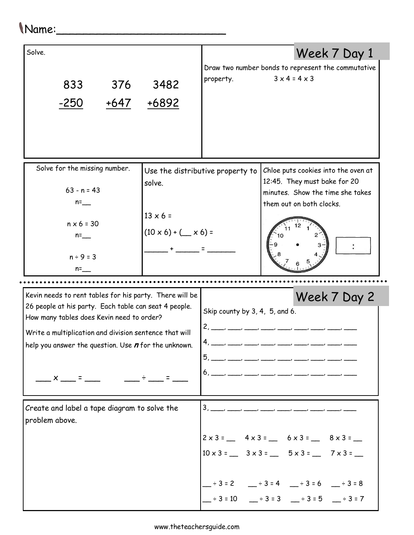## Name:\_\_\_\_\_\_\_\_\_\_\_\_\_\_\_\_\_\_\_\_\_\_\_\_\_

| Solve.<br>833<br>376<br>$-250$<br>+647                                                                                                                                                                                 | 3482<br>+6892                                          | property.                                        | $3 \times 4 = 4 \times 3$ | Week 7 Day 1<br>Draw two number bonds to represent the commutative                                                                                                                                                                                             |  |  |  |  |
|------------------------------------------------------------------------------------------------------------------------------------------------------------------------------------------------------------------------|--------------------------------------------------------|--------------------------------------------------|---------------------------|----------------------------------------------------------------------------------------------------------------------------------------------------------------------------------------------------------------------------------------------------------------|--|--|--|--|
| Solve for the missing number.<br>$63 - n = 43$<br>$n =$<br>$n \times 6 = 30$<br>$n =$<br>$n \div 9 = 3$<br>$n =$                                                                                                       | solve.<br>$13 \times 6 =$<br>$(10 \times 6) + (x 6) =$ | Use the distributive property to                 |                           | Chloe puts cookies into the oven at<br>12:45. They must bake for 20<br>minutes. Show the time she takes<br>them out on both clocks.                                                                                                                            |  |  |  |  |
| Kevin needs to rent tables for his party. There will be                                                                                                                                                                |                                                        |                                                  |                           | Week 7 Day 2                                                                                                                                                                                                                                                   |  |  |  |  |
| 26 people at his party. Each table can seat 4 people.<br>How many tables does Kevin need to order?<br>Write a multiplication and division sentence that will<br>help you answer the question. Use $n$ for the unknown. |                                                        | Skip county by 3, 4, 5, and 6.<br>2 <sub>1</sub> |                           |                                                                                                                                                                                                                                                                |  |  |  |  |
| $\overline{\phantom{a}}$ $\times$ $\overline{\phantom{a}}$ = $\overline{\phantom{a}}$                                                                                                                                  |                                                        |                                                  |                           |                                                                                                                                                                                                                                                                |  |  |  |  |
| Create and label a tape diagram to solve the<br>problem above.                                                                                                                                                         |                                                        | $3, \underline{\qquad}$ , $\underline{\qquad}$   |                           | $2 \times 3 =$ $4 \times 3 =$ $6 \times 3 =$ $8 \times 3 =$<br>$10 \times 3 =$ $3 \times 3 =$ $5 \times 3 =$ $7 \times 3 =$<br>$-$ ÷3=2 $-$ ÷3=4 $-$ ÷3=6 $-$ ÷3=8<br>$\frac{1}{2}$ ÷ 3 = 10 $\frac{1}{2}$ ÷ 3 = 3 $\frac{1}{2}$ ÷ 3 = 5 $\frac{1}{2}$ ÷ 3 = 7 |  |  |  |  |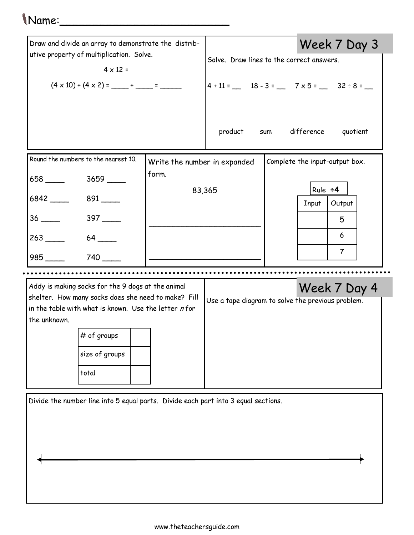## Name:\_\_\_\_\_\_\_\_\_\_\_\_\_\_\_\_\_\_\_\_\_\_\_\_\_

| Draw and divide an array to demonstrate the distrib-<br>utive property of multiplication. Solve.<br>$4 \times 12 =$                                                                                |                              |                                                   |                                         | Week 7 Day 3                   |  |  |  |
|----------------------------------------------------------------------------------------------------------------------------------------------------------------------------------------------------|------------------------------|---------------------------------------------------|-----------------------------------------|--------------------------------|--|--|--|
|                                                                                                                                                                                                    |                              | Solve. Draw lines to the correct answers.         |                                         |                                |  |  |  |
|                                                                                                                                                                                                    |                              | $4 + 11 =$ 18 - 3 = 7 x 5 = 32 ÷ 8 = _            |                                         |                                |  |  |  |
|                                                                                                                                                                                                    |                              | sum difference<br>product<br>quotient             |                                         |                                |  |  |  |
| Round the numbers to the nearest 10.                                                                                                                                                               | Write the number in expanded |                                                   |                                         | Complete the input-output box. |  |  |  |
| 658 ______ 3659 ____                                                                                                                                                                               | form.                        |                                                   |                                         |                                |  |  |  |
| 6842 891                                                                                                                                                                                           | 83,365                       |                                                   | Rule $\div 4$<br>Output<br><b>Input</b> |                                |  |  |  |
| $36 \quad \overline{\quad}$<br>$397$ $\_\_$                                                                                                                                                        |                              |                                                   |                                         | 5                              |  |  |  |
| $263$ $\qquad$                                                                                                                                                                                     |                              |                                                   | 6                                       |                                |  |  |  |
| 740                                                                                                                                                                                                |                              |                                                   | $\overline{7}$                          |                                |  |  |  |
|                                                                                                                                                                                                    |                              |                                                   |                                         |                                |  |  |  |
| Addy is making socks for the 9 dogs at the animal<br>shelter. How many socks does she need to make? Fill<br>in the table with what is known. Use the letter $n$ for<br>the unknown.<br># of groups |                              | Use a tape diagram to solve the previous problem. |                                         | Week 7 Day 4                   |  |  |  |
| size of groups                                                                                                                                                                                     |                              |                                                   |                                         |                                |  |  |  |
| total                                                                                                                                                                                              |                              |                                                   |                                         |                                |  |  |  |
| Divide the number line into 5 equal parts. Divide each part into 3 equal sections.                                                                                                                 |                              |                                                   |                                         |                                |  |  |  |

 $\overline{\phantom{a}}$